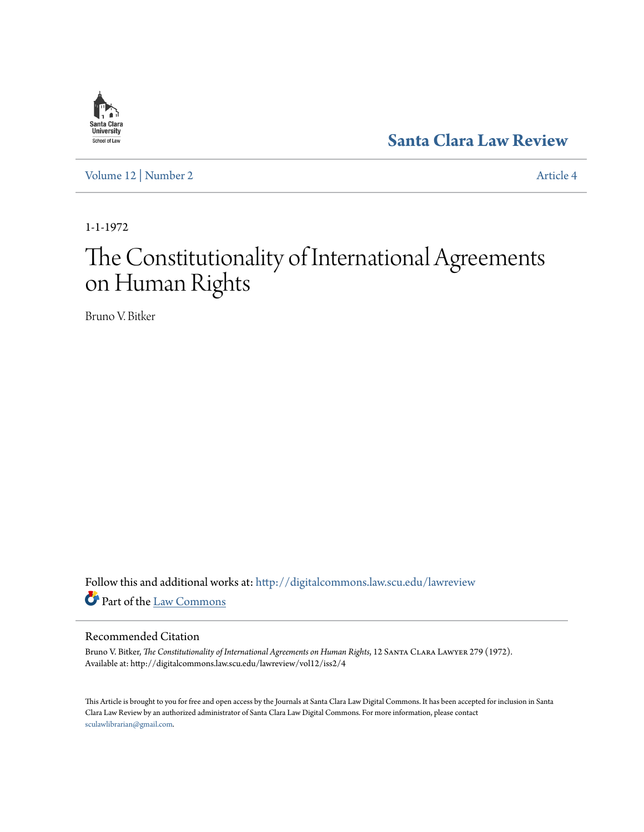

**[Santa Clara Law Review](http://digitalcommons.law.scu.edu/lawreview?utm_source=digitalcommons.law.scu.edu%2Flawreview%2Fvol12%2Fiss2%2F4&utm_medium=PDF&utm_campaign=PDFCoverPages)**

[Volume 12](http://digitalcommons.law.scu.edu/lawreview/vol12?utm_source=digitalcommons.law.scu.edu%2Flawreview%2Fvol12%2Fiss2%2F4&utm_medium=PDF&utm_campaign=PDFCoverPages) | [Number 2](http://digitalcommons.law.scu.edu/lawreview/vol12/iss2?utm_source=digitalcommons.law.scu.edu%2Flawreview%2Fvol12%2Fiss2%2F4&utm_medium=PDF&utm_campaign=PDFCoverPages) [Article 4](http://digitalcommons.law.scu.edu/lawreview/vol12/iss2/4?utm_source=digitalcommons.law.scu.edu%2Flawreview%2Fvol12%2Fiss2%2F4&utm_medium=PDF&utm_campaign=PDFCoverPages)

1-1-1972

# The Constitutionality of International Agreements on Human Rights

Bruno V. Bitker

Follow this and additional works at: [http://digitalcommons.law.scu.edu/lawreview](http://digitalcommons.law.scu.edu/lawreview?utm_source=digitalcommons.law.scu.edu%2Flawreview%2Fvol12%2Fiss2%2F4&utm_medium=PDF&utm_campaign=PDFCoverPages) Part of the [Law Commons](http://network.bepress.com/hgg/discipline/578?utm_source=digitalcommons.law.scu.edu%2Flawreview%2Fvol12%2Fiss2%2F4&utm_medium=PDF&utm_campaign=PDFCoverPages)

### Recommended Citation

Bruno V. Bitker, *The Constitutionality of International Agreements on Human Rights*, 12 Santa Clara Lawyer 279 (1972). Available at: http://digitalcommons.law.scu.edu/lawreview/vol12/iss2/4

This Article is brought to you for free and open access by the Journals at Santa Clara Law Digital Commons. It has been accepted for inclusion in Santa Clara Law Review by an authorized administrator of Santa Clara Law Digital Commons. For more information, please contact [sculawlibrarian@gmail.com](mailto:sculawlibrarian@gmail.com).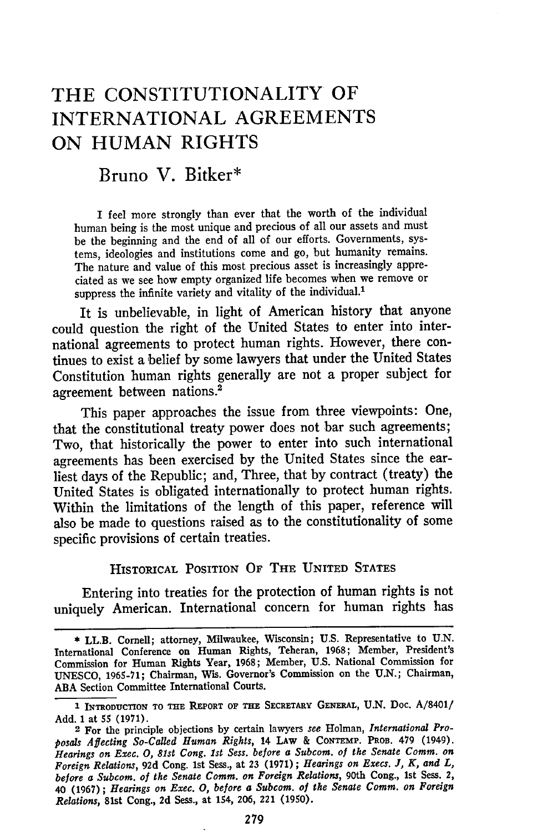# THE CONSTITUTIONALITY OF **INTERNATIONAL AGREEMENTS ON HUMAN** RIGHTS

Bruno V. Bitker\*

I feel more strongly than ever that the worth of the individual human being is the most unique and precious of all our assets and must be the beginning and the end of all of our efforts. Governments, systems, ideologies and institutions come and go, but humanity remains. The nature and value of this most precious asset is increasingly appreciated as we see how empty organized life becomes when we remove or suppress the infinite variety and vitality of the individual.<sup>1</sup>

It is unbelievable, in light of American history that anyone could question the right of the United States to enter into international agreements to protect human rights. However, there continues to exist a belief by some lawyers that under the United States Constitution human rights generally are not a proper subject for agreement between nations. <sup>2</sup>

This paper approaches the issue from three viewpoints: One, that the constitutional treaty power does not bar such agreements; Two, that historically the power to enter into such international agreements has been exercised by the United States since the earliest days of the Republic; and, Three, that by contract (treaty) the United States is obligated internationally to protect human rights. Within the limitations of the length of this paper, reference will also be made to questions raised as to the constitutionality of some specific provisions of certain treaties.

HISTORICAL POSITION OF THE **UNITED** STATES

Entering into treaties for the protection of human rights is not uniquely American. International concern for human rights has

**<sup>\*</sup>** LL.B. Cornell; attorney, Milwaukee, Wisconsin; U.S. Representative to U.N. International Conference on Human Rights, Teheran, 1968; Member, President's Commission for Human Rights Year, 1968; Member, U.S. National Commission for UNESCO, 1965-71; Chairman, Wis. Governor's Commission on the U.N.; Chairman, **ABA** Section Committee International Courts.

**<sup>1</sup> INTRODU CTION TO TME REPORT OF TE** SECRETARY **GENERAL,** U.N. Doc. A/8401/ Add. 1 at 55 (1971).

**<sup>2</sup>** For the principle objections by certain lawyers *see* Holman, *International Proposals Affecting So-Called Human Rights,* 14 **LAw** & **CONTEMP. PROB.** 479 (1949). *Hearings on Exec. 0, 81st Cong. 1st Sess. before a Subcom. of the Senate Comm. on Foreign Relations,* **92d** Cong. 1st Sess., at **23** (1971); *Hearings on Execs.* **J,** *K, and L, before a Subcom. of the Senate Comm. on Foreign Relations,* 90th Cong., 1st Sess. 2, 40 **(1967);** *Hearings on Exec. 0, before a Subcom. of the Senate Comm. on Foreign Relations,* 81st Cong., **2d** Sess., at 154, **206,** 221 **(1950).**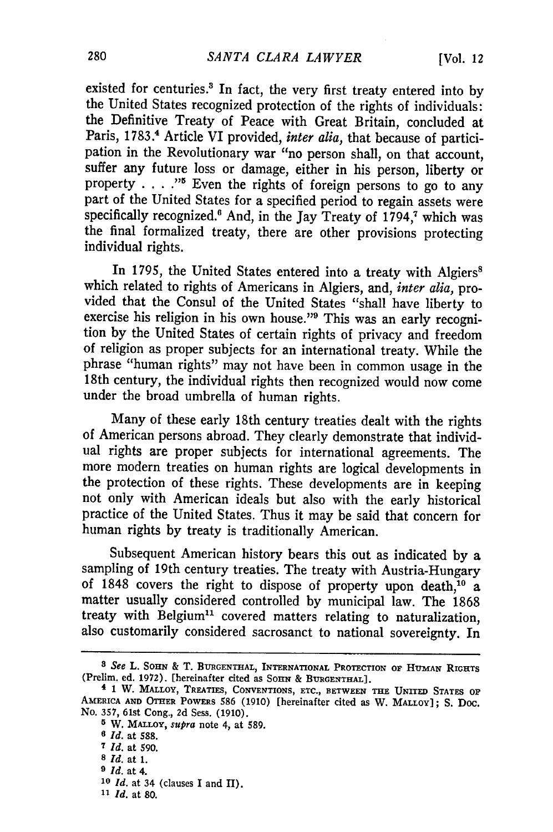existed for centuries.3 In fact, the very first treaty entered into **by** the United States recognized protection of the rights of individuals: the Definitive Treaty of Peace with Great Britain, concluded at Paris, 1783.<sup>4</sup> Article VI provided, *inter alia*, that because of participation in the Revolutionary war "no person shall, on that account, suffer any future loss or damage, either in his person, liberty or property . . . .<sup>75</sup> Even the rights of foreign persons to go to any part of the United States for a specified period to regain assets were specifically recognized.<sup>6</sup> And, in the Jay Treaty of 1794,<sup>7</sup> which was the final formalized treaty, there are other provisions protecting individual rights.

In 1795, the United States entered into a treaty with Algiers<sup>8</sup> which related to rights of Americans in Algiers, and, *inter alia*, provided that the Consul of the United States "shall have liberty to exercise his religio tion by the United States of certain rights of privacy and freedom of religion as proper subjects for an international treaty. While the phrase "human rights" may not have been in common usage in the 18th century, the individual rights then recognized would now come under the broad umbrella of human rights.

Many of these early 18th century treaties dealt with the rights of American persons abroad. They clearly demonstrate that individual rights are proper subjects for international agreements. The more modern treaties on human rights are logical developments in the protection of these rights. These developments are in keeping not only with American ideals but also with the early historical practice of the United States. Thus it may be said that concern for human rights by treaty is traditionally American.

Subsequent American history bears this out as indicated by a sampling of 19th century treaties. The treaty with Austria-Hungary of 1848 covers the right to dispose of property upon death, $10$  a matter usually considered controlled by municipal law. The 1868 treaty with Belgium<sup>11</sup> covered matters relating to naturalization, also customarily considered sacrosanct to national sovereignty. In

- **8** *Id.* **at 1.**
- *9 Id.* **at** 4.
- *<sup>10</sup>Id.* **at** 34 (clauses **I and** II).
- *11 Id.* **at 80.**

*<sup>8</sup>See* L. **SOHN &** T. **BURGENTHAL, INTERNATIONAL PROTECTION OF HUMAN RIGHTS** (Prelim. ed. **1972).** [hereinafter cited as **SOHN & BURGENTHAL].**

**<sup>4 1</sup>** W. **MALLOY, TREATIES, CONVENTIONS, ETC., BETWEEN THE UNITED STATES OF AMERICA AND OTHER** POWERS **586** (1910) [hereinafter cited as W. **MALLOY]; S. Doc.** No. **357,** 61st Cong., **2d** Sess. **(1910).**

**<sup>5</sup>**W. **MALLOY,** *supra* **note** 4, **at 589.**

**<sup>0</sup>** *Id.* **at 588.**

**<sup>7</sup>***Id.* **at 590.**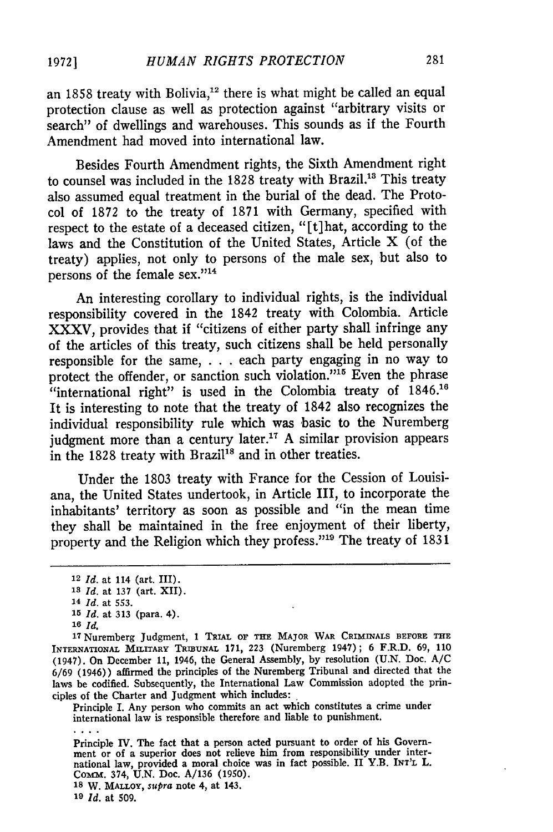an 1858 treaty with Bolivia,<sup>12</sup> there is what might be called an equal protection clause as well as protection against "arbitrary visits or search" of dwellings and warehouses. This sounds as if the Fourth Amendment had moved into international law.

Besides Fourth Amendment rights, the Sixth Amendment right to counsel was included in the  $1828$  treaty with Brazil.<sup>13</sup> This treaty also assumed equal treatment in the burial of the dead. The Protocol of 1872 to the treaty of 1871 with Germany, specified with respect to the estate of a deceased citizen, "[t]hat, according to the laws and the Constitution of the United States, Article X (of the treaty) applies, not only to persons of the male sex, but also to persons of the female sex."14

An interesting corollary to individual rights, is the individual responsibility covered in the 1842 treaty with Colombia. Article XXXV, provides that if "citizens of either party shall infringe any of the articles of this treaty, such citizens shall be held personally responsible for the same, . . . each party engaging in no way to protect the offender, or sanction such violation."<sup>15</sup> Even the phrase "international right" is used in the Colombia treaty of 1846.<sup>16</sup> It is interesting to note that the treaty of 1842 also recognizes the individual responsibility rule which was basic to the Nuremberg judgment more than a century later.<sup>17</sup> A similar provision appears in the 1828 treaty with Brazil<sup>18</sup> and in other treaties.

Under the 1803 treaty with France for the Cession of Louisiana, the United States undertook, in Article III, to incorporate the inhabitants' territory as soon as possible and "in the mean time they shall be maintained in the free enjoyment of their liberty, property and the Religion which they profess."<sup>19</sup> The treaty of 1831

Principle I. Any person who commits an act which constitutes a crime under international law is responsible therefore and liable to punishment.

Principle IV. The fact that a person acted pursuant to order of his Government or of a superior does not relieve him from responsibility under international law, provided a moral choice was in fact possible. II Y.B. **INT'L** L. **Comm.** 374, **U.N.** Doc. **A/136 (1950).**

**<sup>18</sup>W. MALLOY,** *supra* note 4, at 143.

**<sup>19</sup>***Id.* at 509.

<sup>12</sup>*Id.* at 114 (art. III).

**<sup>13</sup>***Id.* at 137 (art. XII).

<sup>14</sup> *Id.* at 553.

**<sup>15</sup>***Id.* at 313 (para. 4).

**<sup>16</sup>** *Id.*

**<sup>17</sup>** Nuremberg Judgment, **1** TRIAL OF THE MAJOR WAR CRIMINALS **BEFORE THE** INTERNATIONAL MILITARY **TRIBUNAL 171, 223** (Nuremberg 1947); **6** F.R.D. **69, 110** (1947). On December **11,** 1946, the General Assembly, **by** resolution **(U.N.** Doc. **A/C 6/69** (1946)) affirmed the principles of the Nuremberg Tribunal and directed that the laws be codified. Subsequently, the International Law Commission adopted the principles of the Charter and Judgment which includes: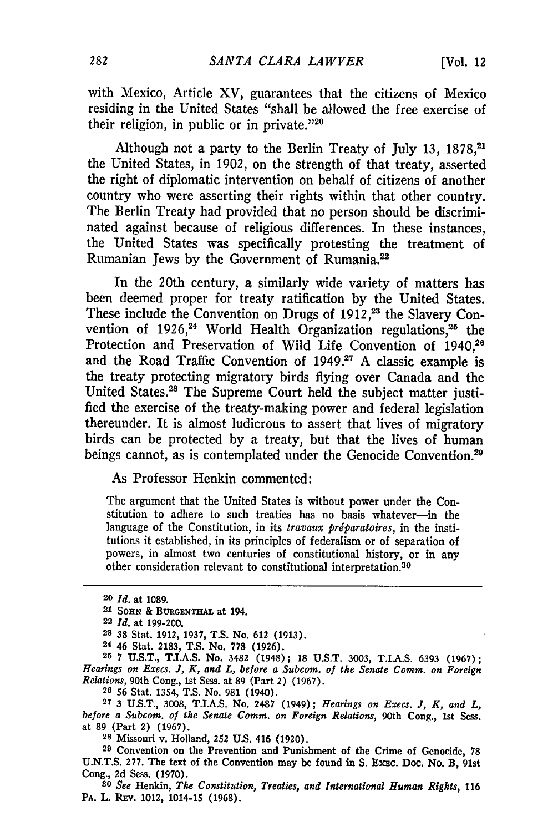with Mexico, Article XV, guarantees that the citizens of Mexico residing in the United States "shall be allowed the free exercise of their religion, in public or in private."20

Although not a party to the Berlin Treaty of July 13, 1878,<sup>21</sup> the United States, in 1902, on the strength of that treaty, asserted the right of diplomatic intervention on behalf of citizens of another country who were asserting their rights within that other country. The Berlin Treaty had provided that no person should be discriminated against because of religious differences. In these instances, the United States was specifically protesting the treatment of Rumanian Jews **by** the Government of Rumania.<sup>22</sup>

In the 20th century, a similarly wide variety of matters has been deemed proper for treaty ratification **by** the United States. These include the Convention on Drugs of 1912,<sup>23</sup> the Slavery Convention of  $1926$ ,<sup>24</sup> World Health Organization regulations,<sup>25</sup> the Protection and Preservation of Wild Life Convention of 1940.<sup>26</sup> and the Road Traffic Convention of 1949.<sup>27</sup> A classic example is the treaty protecting migratory birds flying over Canada and the United States.<sup>28</sup> The Supreme Court held the subject matter justified the exercise of the treaty-making power and federal legislation thereunder. It is almost ludicrous to assert that lives of migratory birds can be protected **by** a treaty, but that the lives of human beings cannot, as is contemplated under the Genocide Convention.<sup>29</sup>

As Professor Henkin commented:

The argument that the United States is without power under the Constitution to adhere to such treaties has no basis whatever-in the language of the Constitution, in its *travaux prdparatoires,* in the institutions it established, in its principles of federalism or of separation of powers, in almost two centuries of constitutional history, or in any other consideration relevant to constitutional interpretation.<sup>30</sup>

**<sup>25</sup>7 U.S.T.,** T.I.A.S. No. 3482 (1948); **18 U.S.T. 3003,** T.I.A.S. **6393 (1967);** Hearings on Execs. **J,** K, and L, before a Subcom. of the Senate Comm. on Foreign Relations, 90th Cong., 1st Sess. at 89 (Part 2) (1967).

**26 56** Stat. 1354, **T.S.** No. 981 (1940).

**<sup>27</sup>**3 U.S.T., 3008, T.I.A.S. No. **2487** (1949); Hearings on Execs. **J,** K, and L, before a Subcom. of the Senate Comm. on Foreign Relations, 90th Cong., 1st Sess. at 89 (Part 2) (1967).

**28** Missouri v. Holland, 252 **U.S.** 416 (1920).

**<sup>29</sup>**Convention on the Prevention and Punishment of the Crime of Genocide, **78** U.N.T.S. 277. The text of the Convention may be found in S. Exec. Doc. No. B, 91st Cong., **2d** Sess. **(1970).**

**<sup>80</sup>**See Henkin, The Constitution, Treaties, and International Human Rights, **116** PA. L. REV. 1012, 1014-15 **(1968).**

**<sup>20</sup>** *Id.* at **1089.**

<sup>21</sup> **SOHN** & **BURGENTHAL** at 194.

**<sup>22</sup> Id.** at **199-200.**

**<sup>23 38</sup>** Stat. **1912, 1937, T.S.** No. **612 (1913).**

**<sup>24</sup>** 46 Stat. **2183, T.S.** No. **778 (1926).**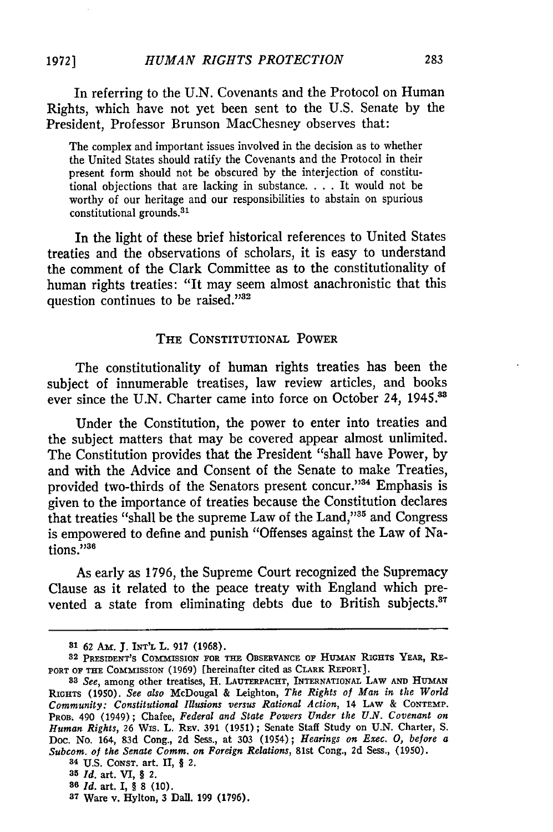In referring to the U.N. Covenants and the Protocol on Human Rights, which have not yet been sent to the U.S. Senate by the President, Professor Brunson MacChesney observes that:

The complex and important issues involved in the decision as to whether the United States should ratify the Covenants and the Protocol in their present form should not be obscured by the interjection of constitutional objections that are lacking in substance. . **.** .It would not be worthy of our heritage and our responsibilities to abstain on spurious constitutional grounds. <sup>31</sup>

In the light of these brief historical references to United States treaties and the observations of scholars, it is easy to understand the comment of the Clark Committee as to the constitutionality of human rights treaties: "It may seem almost anachronistic that this question continues to be raised."<sup>32</sup>

#### **THE** CONSTITUTIONAL **POWER**

The constitutionality of human rights treaties has been the subject of innumerable treatises, law review articles, and books ever since the U.N. Charter came into force on October 24, 1945.<sup>33</sup>

Under the Constitution, the power to enter into treaties and the subject matters that may be covered appear almost unlimited. The Constitution provides that the President "shall have Power, by and with the Advice and Consent of the Senate to make Treaties, provided two-thirds of the Senators present concur."<sup>34</sup> Emphasis is given to the importance of treaties because the Constitution declares that treaties "shall be the supreme Law of the Land,"<sup>35</sup> and Congress is empowered to define and punish "Offenses against the Law of Nations."<sup>38</sup>

As early as 1796, the Supreme Court recognized the Supremacy Clause as it related to the peace treaty with England which prevented a state from eliminating debts due to British subjects.<sup>37</sup>

**<sup>8&#</sup>x27; 62** *Am.* **J. INT'L L. 917 (1968).**

<sup>32</sup> PRESIDENT'S COMMISSION FOR THE OBSERVANCE OF HUMAN RIGHTS YEAR, RE-PORT **OF THE** COMMISSION **(1969)** [hereinafter cited as CLARK REPORT].

*<sup>83</sup>See,* among other treatises, H. **LAUTERPACHT,** INTERNATIONAL LAW **AND HUMAN RIGHTs (1950).** *See also* McDougal **&** Leighton, *The Rights of Man in the World Community: Constitutional Illusions versus Rational Action,* 14 **LAW** & **CONTEMP. PROB. 490 (1949); Chafee,** *Federal and State Powers Under the U.N. Covenant on Human Rights,* **26** Wis. **L. REV. 391 (1951); Senate** Staff Study on **U.N.** Charter, **S. Doc. No. 164, 83d Cong., 2d Sess., at 303 (1954);** *Hearings on Exec. 0, before a Subcom. of the Senate Comm. on Foreign Relations,* **81st** Cong., **2d** Sess., **(1950).**

<sup>34</sup>U.S. **CONST.** art. II, § 2.

**<sup>35</sup>***Id.* art. VI, *§* **2.**

**<sup>86</sup>***Id.* art. I, § **8 (10).**

**<sup>37</sup>** Ware v. Hylton, **3** Dal]. **199 (1796).**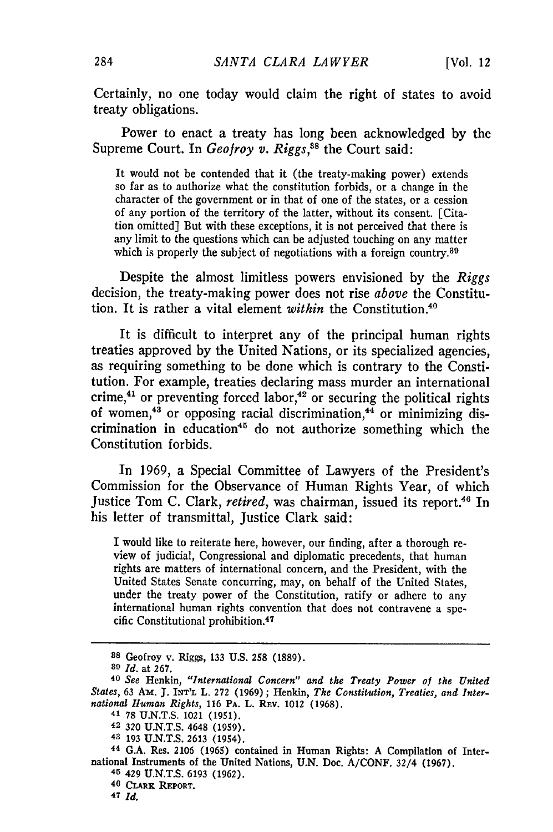Certainly, no one today would claim the right of states to avoid treaty obligations.

Power to enact a treaty has long been acknowledged by the Supreme Court. In *Geofroy v. Riggs*,<sup>38</sup> the Court said:

It would not be contended that it (the treaty-making power) extends so far as to authorize what the constitution forbids, or a change in the character of the government or in that of one of the states, or a cession of any portion of the territory of the latter, without its consent. [Citation omitted] But with these exceptions, it is not perceived that there is any limit to the questions which can be adjusted touching on any matter which is properly the subject of negotiations with a foreign country.<sup>39</sup>

Despite the almost limitless powers envisioned by the *Riggs* decision, the treaty-making power does not rise *above* the Constitution. It is rather a vital element *within* the Constitution. <sup>40</sup>

It is difficult to interpret any of the principal human rights treaties approved by the United Nations, or its specialized agencies, as requiring something to be done which is contrary to the Constitution. For example, treaties declaring mass murder an international crime,<sup>41</sup> or preventing forced labor,<sup>42</sup> or securing the political rights of women, $4^3$  or opposing racial discrimination, $4^4$  or minimizing discrimination in education<sup>45</sup> do not authorize something which the Constitution forbids.

In 1969, a Special Committee of Lawyers of the President's Commission for the Observance of Human Rights Year, of which Justice Tom C. Clark, *retired*, was chairman, issued its report.<sup>46</sup> In his letter of transmittal, Justice Clark said:

I would like to reiterate here, however, our finding, after a thorough review of judicial, Congressional and diplomatic precedents, that human rights are matters of international concern, and the President, with the United States Senate concurring, may, on behalf of the United States, under the treaty power of the Constitution, ratify or adhere to any international human rights convention that does not contravene a specific Constitutional prohibition.<sup>47</sup>

**44** G.A. Res. 2106 (1965) contained in Human Rights: A Compilation of International Instruments of the United Nations, U.N. Doc. A/CONF. 32/4 (1967). **<sup>45</sup>**429 U.N.T.S. 6193 (1962).

284

**<sup>88</sup>**Geofroy v. Riggs, **133** U.S. **258** (1889).

**<sup>39</sup>***Id.* at **267. <sup>40</sup>***See* Henkin, *"International Concern" and the Treaty Power of the United States,* 63 Aw. J. **INT'L** L. 272 (1969); Henkin, *The Constitution, Treaties, and International Human Rights,* 116 PA. L. REV. 1012 (1968).

<sup>41</sup> **78** U.N.T.S. 1021 (1951).

**<sup>42</sup>** 320 U.N.T.S. 4648 (1959).

**<sup>43 193</sup>** U.N.T.S. 2613 (1954).

**<sup>46</sup> CLARK REPORT.**

**<sup>47</sup> Id.**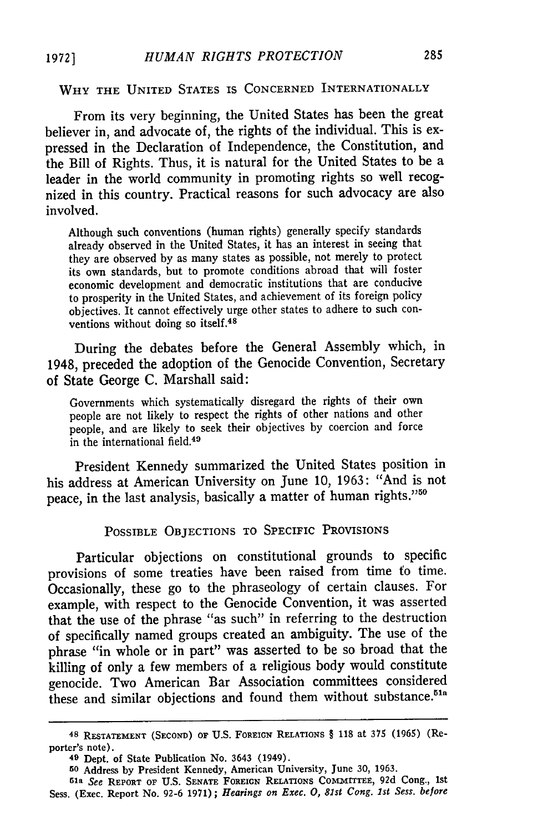#### WHY **THE UNITED STATES IS CONCERNED INTERNATIONALLY**

From its very beginning, the United States has been the great believer in, and advocate of, the rights of the individual. This is expressed in the Declaration of Independence, the Constitution, and the Bill of Rights. Thus, it is natural for the United States to be a leader in the world community in promoting rights so well recognized in this country. Practical reasons for such advocacy are also involved.

Although such conventions (human rights) generally specify standards already observed in the United States, it has an interest in seeing that they are observed by as many states as possible, not merely to protect its own standards, but to promote conditions abroad that will foster economic development and democratic institutions that are conducive to prosperity in the United States, and achievement of its foreign policy objectives. It cannot effectively urge other states to adhere to such conventions without doing so itself.<sup>48</sup>

During the debates before the General Assembly which, in 1948, preceded the adoption of the Genocide Convention, Secretary of State George C. Marshall said:

Governments which systematically disregard the rights of their own people are not likely to respect the rights of other nations and other people, and are likely to seek their objectives **by** coercion and force in the international field.<sup>49</sup>

President Kennedy summarized the United States position in his address at American University on June 10, 1963: "And is not peace, in the last analysis, basically a matter of human rights."50

**POSSIBLE** OBJECTIONS **TO SPECIFIC** PROVISIONS

Particular objections on constitutional grounds to specific provisions of some treaties have been raised from time fo time. Occasionally, these go to the phraseology of certain clauses. For example, with respect to the Genocide Convention, it was asserted that the use of the phrase "as such" in referring to the destruction of specifically named groups created an ambiguity. The use of the phrase "in whole or in part" was asserted to be so broad that the killing of only a few members of a religious body would constitute genocide. Two American Bar Association committees considered these and similar objections and found them without substance.<sup>51a</sup>

**<sup>48</sup> RESTATEMENT (SECOND)** OF **U.S. FOREIGN RELATIONS** § **118** at 375 (1965) (Reporter's note).

**<sup>49</sup>** Dept. of State Publication No. 3643 (1949).

**<sup>50</sup>**Address **by** President Kennedy, American University, June **30,** 1963.

**sa** *See* **REPORT OF U.S. SENATE** FOREIGN **RELATIONS** COMMITTEE, **92d** Cong., 1st Sess. (Exec. Report No. 92-6 1971); *Hearings on Exec. 0, 81st Cong. 1st Sess. before*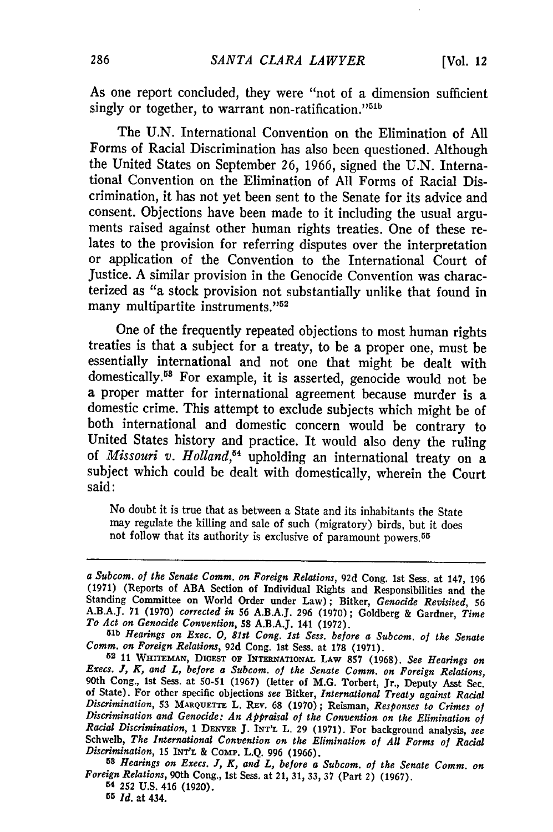As one report concluded, they were "not of a dimension sufficient singly or together, to warrant non-ratification."<sup>51b</sup>

The U.N. International Convention on the Elimination of All Forms of Racial Discrimination has also been questioned. Although the United States on September 26, 1966, signed the U.N. International Convention on the Elimination of All Forms of Racial Discrimination, it has not yet been sent to the Senate for its advice and consent. Objections have been made to it including the usual arguments raised against other human rights treaties. One of these relates to the provision for referring disputes over the interpretation or application of the Convention to the International Court of Justice. A similar provision in the Genocide Convention was characterized as "a stock provision not substantially unlike that found in many multipartite instruments."<sup>52</sup>

One of the frequently repeated objections to most human rights treaties is that a subject for a treaty, to be a proper one, must be essentially international and not one that might be dealt with domestically.<sup>53</sup> For example, it is asserted, genocide would not be a proper matter for international agreement because murder is a domestic crime. This attempt to exclude subjects which might be of both international and domestic concern would be contrary to United States history and practice. It would also deny the ruling of *Missouri v. Holland,54* upholding an international treaty on a subject which could be dealt with domestically, wherein the Court said:

No doubt it is true that as between a State and its inhabitants the State may regulate the killing and sale of such (migratory) birds, but it does not follow that its authority is exclusive of paramount powers. <sup>55</sup>

*To Act on Genocide Convention,* **58 A.B.A.J.** 141 **(1972).** *51b Hearings on Exec. 0, 81st Cong. 1st Sess. before a Subcom. of the Senate*

*<sup>58</sup>Hearings on Execs. J, K, and L, before a Subcom. of the Senate Comm. on Foreign Relations,* 90th Cong., 1st Sess. at 21, 31, 33, 37 (Part 2) (1967). <sup>54</sup>252 **U.S.** 416 (1920).

*a Subcom. of the Senate Comm. on Foreign Relations,* **92d** Cong. 1st Sess. at 147, **<sup>196</sup> (1971)** (Reports of **ABA** Section of Individual Rights and Responsibilities and the Standing Committee on World Order under Law); Bitker, *Genocide Revisited, 56* **A.B.A.J.** 71 (1970) *corrected in* **56 A.B.A.J. 296 (1970) ;** Goldberg & Gardner, *Time*

*Comm. on Foreign Relations,* **92d** Cong. 1st Sess. at **178 (1971). 52 11 WHirrEMAN, DIGEST OF INTERNATIONAL LAW 857 (1968).** *See Hearings on Execs. J, K, and L, before a Subcom. of the Senate Comm. on Foreign Relations,* 90th Cong., 1st Sess. at **50-51** (1967) (letter of M.G. Torbert, Jr., Deputy Asst Sec. **of** State). For other specific objections *see* Bitker, *International Treaty against Racial* Discrimination, 53 MARQUETTE L. REV. 68 (1970); Reisman, Responses to Crimes of Discrimination and Genocide: An Appraisal of the Convention on the Elimination of Racial Discrimination, 1 DENVER J. INT'L L. 29 (1971). For b *Discrimination, 15* **INT'L** & ComP. L.Q. 996 (1966).

**<sup>55</sup>** *Id.* at 434.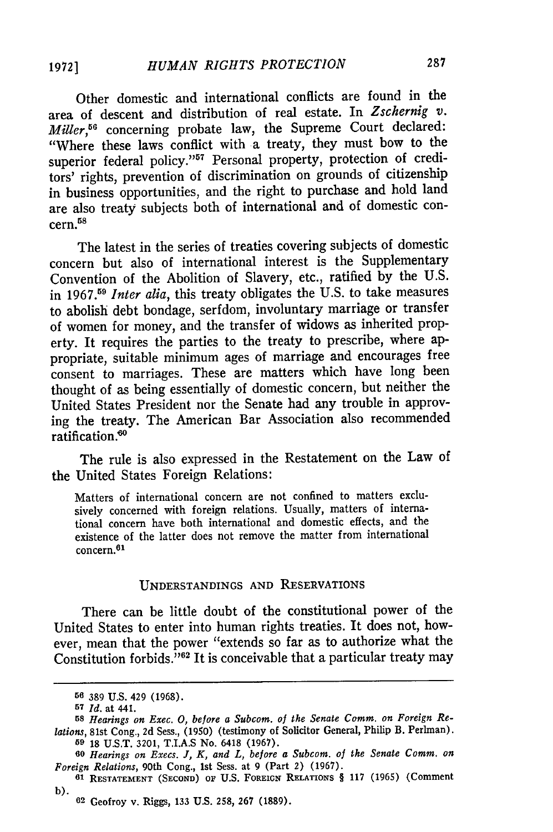Other domestic and international conflicts are found in the area of descent and distribution of real estate. In *Zschernig v. Miller,56* concerning probate law, the Supreme Court declared: "Where these laws conflict with a treaty, they must bow to the superior federal policy."<sup>57</sup> Personal property, protection of creditors' rights, prevention of discrimination on grounds of citizenship in business opportunities, and the right to purchase and hold land are also treaty subjects both of international and of domestic con $cern.<sup>58</sup>$ 

The latest in the series of treaties covering subjects of domestic concern but also of international interest is the Supplementary Convention of the Abolition of Slavery, etc., ratified by the U.S. in **1967.<sup>59</sup>***Inter alia,* this treaty obligates the U.S. to take measures to abolish debt bondage, serfdom, involuntary marriage or transfer of women for money, and the transfer of widows as inherited property. It requires the parties to the treaty to prescribe, where appropriate, suitable minimum ages of marriage and encourages free consent to marriages. These are matters which have long been thought of as being essentially of domestic concern, but neither the United States President nor the Senate had any trouble in approving the treaty. The American Bar Association also recommended ratification. °

The rule is also expressed in the Restatement on the Law of the United States Foreign Relations:

Matters of international concern are not confined to matters exclusively concerned with foreign relations. Usually, matters of international concern have both international and domestic effects, and the existence of the latter does not remove the matter from international concern. 6l

## UNDERSTANDINGS AND RESERVATIONS

There can be little doubt of the constitutional power of the United States to enter into human rights treaties. It does not, however, mean that the power "extends so far as to authorize what the Constitution forbids.<sup>7162</sup> It is conceivable that a particular treaty may

**<sup>56</sup>** 389 U.S. 429 (1968).

**<sup>57</sup>** *Id.* at 441.

*<sup>58</sup> Hearings on Exec. 0, before a Subcom. of the Senate Comm. on Foreign Relations,* 81st Cong., 2d Sess., (1950) (testimony of Solicitor General, Philip B. Perlman).

**<sup>59</sup>** 18 U.S.T. 3201, T.I.A.S No. 6418 (1967). **<sup>60</sup>***Hearings on Execs. J, K, and L, before a Subcom. of the Senate Comm. on Foreign Relations,* 90th Cong., 1st Sess. at 9 (Part 2) (1967).

**<sup>61</sup> RESTATEMENT (SECOND) OF** U.S. **FOREIGN RELATIONS** § 117 (1965) (Comment

b). <sup>02</sup>**Geofroy v. Riggs, 133 U.S. 258, 267 (1889).**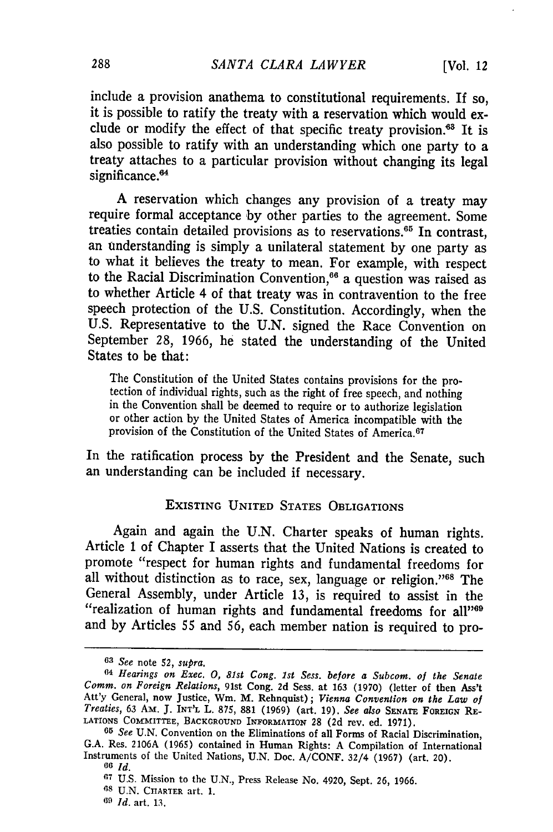include a provision anathema to constitutional requirements. If so, it is possible to ratify the treaty with a reservation which would exclude or modify the effect of that specific treaty provision.<sup>63</sup> It is also possible to ratify with an understanding which one party to a treaty attaches to a particular provision without changing its legal significance.<sup>64</sup>

A reservation which changes any provision of a treaty may require formal acceptance by other parties to the agreement. Some treaties contain detailed provisions as to reservations.<sup>65</sup> In contrast, an tnderstanding is simply a unilateral statement by one party as to what it believes the treaty to mean. For example, with respect to the Racial Discrimination Convention,<sup>66</sup> a question was raised as to whether Article 4 of that treaty was in contravention to the free speech protection of the U.S. Constitution. Accordingly, when the U.S. Representative to the U.N. signed the Race Convention on September 28, 1966, he stated the understanding of the United States to be that:

The Constitution of the United States contains provisions for the pro- tection of individual rights, such as the right of free speech, and nothing in the Convention shall be deemed to require or to authorize legislation or other action by the United States of America incompatible with the provision of the Constitution of the United States of America.<sup>67</sup>

In the ratification process by the President and the Senate, such an understanding can be included if necessary.

#### EXISTING UNITED **STATES** OBLIGATIONS

Again and again the U.N. Charter speaks of human rights. Article 1 of Chapter I asserts that the United Nations is created to promote "respect for human rights and fundamental freedoms for all without distinction as to race, sex, language or religion."<sup>88</sup> The General Assembly, under Article 13, is required to assist in the "realization of human rights and fundamental freedoms for all"<sup>69</sup> and by Articles **55** and 56, each member nation is required to pro-

*<sup>63</sup> See* note *52, supra.*

*<sup>64</sup>Hearings on Exec. 0, 81st Cong. 1st Sess. before a Subcom. of the Senate Comm. on Foreign Relations,* 91st Cong. **2d** Sess. at **163 (1970)** (letter of then Ass't Att'y General, now Justice, Wm. M. Rehnquist); *Vienna Convention on the Law of Treaties,* 63 Am. J. **INT'L** L. **875, 881 (1969)** (art. 19). *See also* SENATE FOREIGN RE-LATIONS COMMITTEE, **BACKGROUND** INFORMATION 28 (2d rev. ed. 1971).

**<sup>65</sup>***See* U.N. Convention on the Eliminations of all Forms of Racial Discrimination, **G.A.** Res. 2106A (1965) contained in Human Rights: A Compilation of International Instruments of the United Nations, U.N. Doc. **A/CONF.** 32/4 (1967) (art. 20). *<sup>60</sup>Id.*

**<sup>67</sup>**U.S. Mission to the U.N., Press Release No. 4920, Sept. 26, 1966.

*<sup>68</sup>* U.N. CHARTER art. 1.

*<sup>69</sup> Id.* art. 13.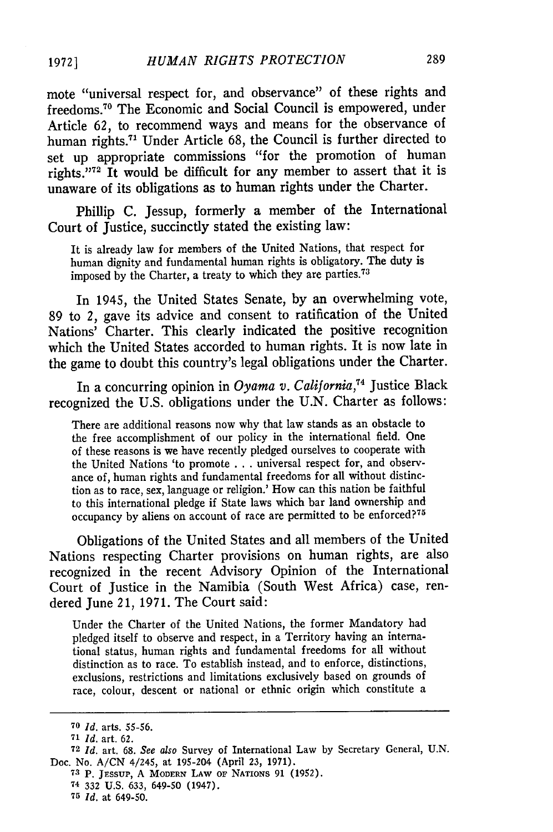mote "universal respect for, and observance" of these rights and freedoms.70 The Economic and Social Council is empowered, under Article 62, to recommend ways and means for the observance of human rights.<sup>71</sup> Under Article 68, the Council is further directed to set up appropriate commissions "for the promotion of human rights." $72$  It would be difficult for any member to assert that it is unaware of its obligations as to human rights under the Charter.

Philip C. Jessup, formerly a member of the International Court of Justice, succinctly stated the existing law:

It is already law for members of the United Nations, that respect for human dignity and fundamental human rights is obligatory. The duty is imposed by the Charter, a treaty to which they are parties.<sup>73</sup>

In 1945, the United States Senate, by an overwhelming vote, 89 to *2,* gave its advice and consent to ratification of the United Nations' Charter. This clearly indicated the positive recognition which the United States accorded to human rights. It is now late in the game to doubt this country's legal obligations under the Charter.

In a concurring opinion in *Oyama v. California,74* Justice Black recognized the U.S. obligations under the U.N. Charter as follows:

There are additional reasons now why that law stands as an obstacle to the free accomplishment of our policy in the international field. One of these reasons is we have recently pledged ourselves to cooperate with the United Nations 'to promote . . . universal respect for, and observance of, human rights and fundamental freedoms for all without distinction as to race, sex, language or religion.' How can this nation be faithful to this international pledge if State laws which bar land ownership and occupancy by aliens on account of race are permitted to be enforced?<sup>75</sup>

Obligations of the United States and all members of the United Nations respecting Charter provisions on human rights, are also recognized in the recent Advisory Opinion of the International Court of Justice in the Namibia (South West Africa) case, rendered June 21, 1971. The Court said:

Under the Charter of the United Nations, the former Mandatory had pledged itself to observe and respect, in a Territory having an international status, human rights and fundamental freedoms for all without distinction as to race. To establish instead, and to enforce, distinctions, exclusions, restrictions and limitations exclusively based on grounds of race, colour, descent or national or ethnic origin which constitute a

**<sup>70</sup>** *Id.* arts. 55-56.

**<sup>71</sup>***Id.* art. 62.

**<sup>72</sup>***Id.* art. 68. *See also* Survey of International Law by Secretary General, U.N. Doc. No. A/CN 4/245, at 195-204 (April 23, 1971).

**<sup>73</sup>** P. JEssuP, A MODERN **LAW OF** NATIONS **91 (1952).**

**<sup>74</sup>** 332 U.S. 633, 649-50 (1947).

**<sup>75</sup>** *Id.* at 649-50.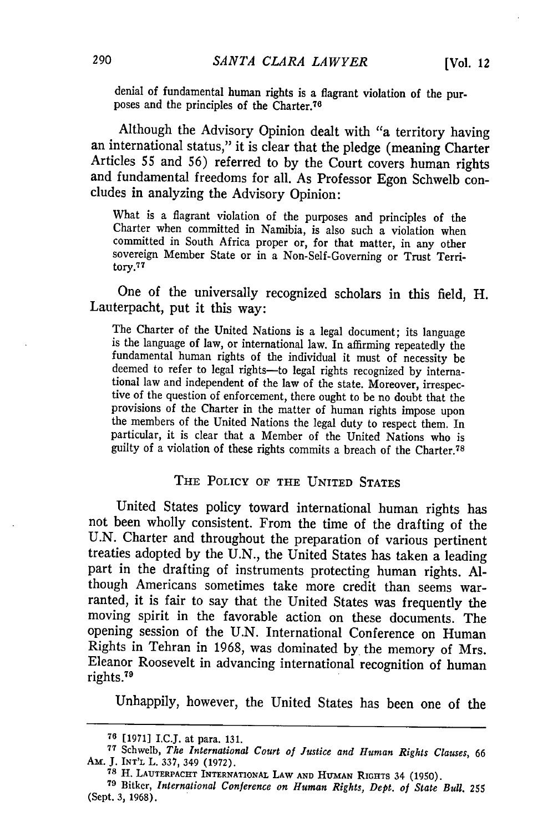denial of fundamental human rights is a flagrant violation of the purposes and the principles of the Charter.76

Although the Advisory Opinion dealt with "a territory having an international status," it is clear that the pledge (meaning Charter Articles 55 and 56) referred to **by** the Court covers human rights and fundamental freedoms for all. As Professor Egon Schwelb concludes in analyzing the Advisory Opinion:

What is a flagrant violation of the purposes and principles of the Charter when committed in Namibia, is also such a violation when committed in South Africa proper or, for that matter, in any other sovereign Member State or in a Non-Self-Governing or Trust Territory.<sup>77</sup>

One of the universally recognized scholars in this field, H. Lauterpacht, put it this way:

The Charter of the United Nations is a legal document; its language is the language of law, or international law. In affirming repeatedly the fundamental human rights of the individual it must of necessity be deemed to refer to legal rights-to legal rights recognized by interna-<br>tional law and independent of the law of the state. Moreover, irrespective of the question of enforcement, there ought to be no doubt that the provisions of the Charter in the matter of human rights impose upon the members of the United Nations the legal duty to respect them. In particular, it is clear that a Member of the United Nations who is guilty of a violation of these rights commits a breach of the Charter.78

#### THE POLICY **OF** THE UNITED **STATES**

United States policy toward international human rights has not been wholly consistent. From the time of the drafting of the U.N. Charter and throughout the preparation of various pertinent treaties adopted **by** the U.N., the United States has taken a leading part in the drafting of instruments protecting human rights. Although Americans sometimes take more credit than seems warranted, it is fair to say that the United States was frequently the moving spirit in the favorable action on these documents. The opening session of the U.N. International Conference on Human Rights in Tehran in 1968, was dominated **by** the memory of Mrs. Eleanor Roosevelt in advancing international recognition of human rights. <sup>79</sup>

Unhappily, however, the United States has been one of the

**<sup>76 [1971]</sup> I.C.J. at para. 131.**

**<sup>77</sup>**Schwelb, *The International Court of Justice and Human Rights Clauses, 66*

<sup>&</sup>lt;sup>78</sup> H. LAUTERPACHT INTERNATIONAL LAW AND HUMAN RIGHTS 34 (1950).

**<sup>79</sup>**Bitker, *International Conference on Human Rights, Dept. of State Bull. 255* (Sept. **3, 1968).**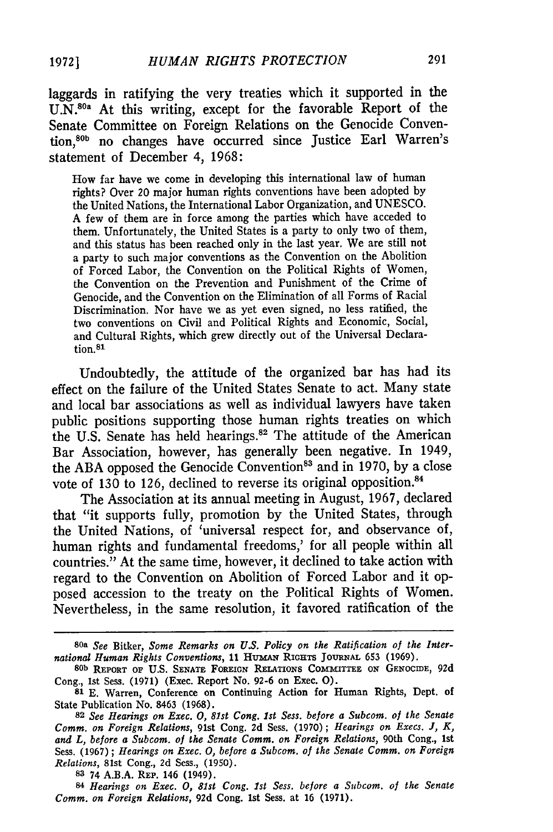laggards in ratifying the very treaties which it supported in the  $UN<sub>1</sub><sup>80a</sup>$  At this writing, except for the favorable Report of the Senate Committee on Foreign Relations on the Genocide Convention,<sup>80b</sup> no changes have occurred since Justice Earl Warren's statement of December 4, 1968:

How far have we come in developing this international law of human rights? Over 20 major human rights conventions have been adopted by the United Nations, the International Labor Organization, and UNESCO. A few of them are in force among the parties which have acceded to them. Unfortunately, the United States is a party to only two of them, and this status has been reached only in the last year. We are still not a party to such major conventions as the Convention on the Abolition of Forced Labor, the Convention on the Political Rights of Women, the Convention on the Prevention and Punishment of the Crime of Genocide, and the Convention on the Elimination of all Forms of Racial Discrimination. Nor have we as yet even signed, no less ratified, the two conventions on Civil and Political Rights and Economic, Social, and Cultural Rights, which grew directly out of the Universal Declaration.81

Undoubtedly, the attitude of the organized bar has had its effect on the failure of the United States Senate to act. Many state and local bar associations as well as individual lawyers have taken public positions supporting those human rights treaties on which the U.S. Senate has held hearings.<sup>82</sup> The attitude of the American Bar Association, however, has generally been negative. In 1949, the ABA opposed the Genocide Convention<sup>83</sup> and in 1970, by a close vote of 130 to 126, declined to reverse its original opposition.<sup>84</sup>

The Association at its annual meeting in August, 1967, declared that "it supports fully, promotion by the United States, through the United Nations, of 'universal respect for, and observance of, human rights and fundamental freedoms,' for all people within all countries." At the same time, however, it declined to take action with regard to the Convention on Abolition of Forced Labor and it opposed accession to the treaty on the Political Rights of Women. Nevertheless, in the same resolution, it favored ratification of the

**<sup>80</sup>a** *See* Bitker, *Some Remarks on U.S. Policy on the Ratification of the International Human Rights Conventions,* 11 HUMAN RIGHTS JOURNAL 653 (1969).

**<sup>80</sup>b REPORT OF U.S. SENATE FOREIGN RELATIONS COMMITTEE** ON **GENOCIDE, 92d** Cong., 1st Sess. **(1971)** (Exec. Report No. **92-6** on Exec. **0).**

**<sup>81</sup> E.** Warren, Conference on Continuing Action for Human Rights, Dept. of State Publication No. **8463 (1968).**

**<sup>82</sup>***See Hearings on Exec. 0, 81st Cong. 1st Sess. before a Subcom. of the Senate Comm. on Foreign Relations,* 91st Cong. **2d** Sess. (1970); *Hearings on Execs. J, K, and L, before a Subcom. of the Senate Comm. on Foreign Relations,* 90th Cong., 1st Sess. (1967) **;** *Hearings on Exec. 0, before a Subcom. of the Senate Comm. on Foreign Relations,* 81st Cong., 2d Sess., (1950).

**<sup>83</sup>** 74 A.B.A. **REP.** 146 (1949).

**<sup>84</sup>***Hearings on Exec. 0, 81st Cong. 1st Sess. before a Subcom. of the Senate Comm. on Foreign Relations,* 92d Cong. 1st Sess. at 16 (1971).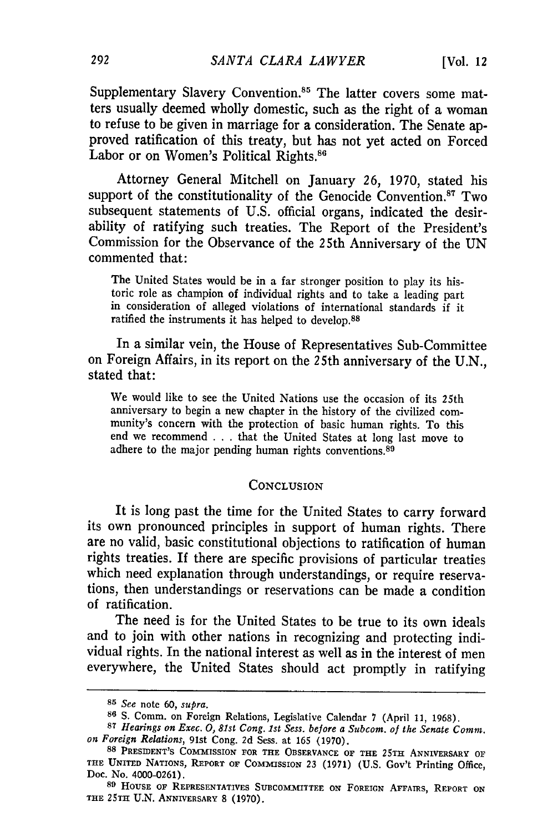Supplementary Slavery Convention.<sup>85</sup> The latter covers some matters usually deemed wholly domestic, such as the right of a woman to refuse to be given in marriage for a consideration. The Senate approved ratification of this treaty, but has not yet acted on Forced Labor or on Women's Political Rights.<sup>86</sup>

Attorney General Mitchell on January 26, 1970, stated his support of the constitutionality of the Genocide Convention.<sup>87</sup> Two subsequent statements of U.S. official organs, indicated the desirability of ratifying such treaties. The Report of the President's Commission for the Observance of the 25th Anniversary of the UN commented that:

The United States would be in a far stronger position to play its historic role as champion of individual rights and to take a leading part in consideration of alleged violations of international standards if it ratified the instruments it has helped to develop. <sup>88</sup>

In a similar vein, the House of Representatives Sub-Committee on Foreign Affairs, in its report on the 25th anniversary of the U.N., stated that:

We would like to see the United Nations use the occasion of its 25th anniversary to begin a new chapter in the history of the civilized community's concern with the protection of basic human rights. To this end we recommend . . . that the United States at long last move to adhere to the major pending human rights conventions.<sup>89</sup>

#### **CONCLUSION**

It is long past the time for the United States to carry forward its own pronounced principles in support of human rights. There are no valid, basic constitutional objections to ratification of human rights treaties. If there are specific provisions of particular treaties which need explanation through understandings, or require reservations, then understandings or reservations can be made a condition of ratification.

The need is for the United States to be true to its own ideals and to join with other nations in recognizing and protecting individual rights. In the national interest as well as in the interest of men everywhere, the United States should act promptly in ratifying

**<sup>85</sup>** *See* note 60, supra.

**<sup>86</sup>**S. Comm. on Foreign Relations, Legislative Calendar 7 (April 11, 1968).

*<sup>87</sup>Hearings on Exec. 0, 81st Cong. 1st Sess. before a Subcom. of the Senate Comm. on Foreign Relations,* 91st Cong. 2d Sess. at 165 (1970). **<sup>88</sup>**PRESIDENT'S COMMISSION **FOR THE OBSERVANCE OF THE** 25TH **ANNIVERSARY OF**

**THE UNITED** NATIONS, **REPORT OF** ConMIsSIoN 23 (1971) (U.S. Gov't Printing Office, Doc. No. 4000-0261).

**<sup>89</sup>**HousE **OF** REPRESENTATIVES **SUBCOMMITTEE** ON **FOREIGN AFFAIRS,** REPORT **ON THE 25TH U.N. ANNIVERSARY 8 (1970).**